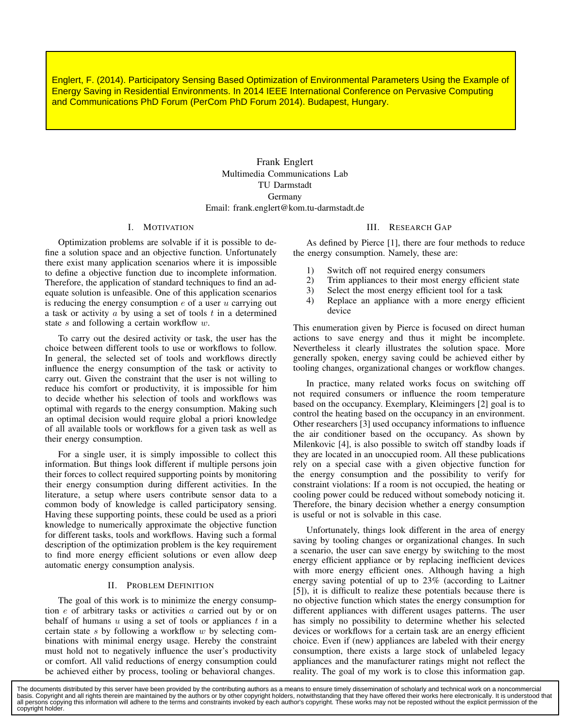Englert, F. (2014). Participatory Sensing Based Optimization of Environmental Parameters Using the Example o<br>Energy Saving in Residential Environments. In 2014 IEEE International Conference on Pervasive Computing Energy Saving in Residential Environments and Communications PhD Forum (PerCom PhD Forum 2014). Budapest, Hungary. Englert, F. (2014). Participatory Sensing Based Optimization of Environmental Parameters Using the Example of

Participatory Sensing Based Optimization of

Frank Englert Multimedia Communications Lab TU Darmstadt Germany Email: frank.englert@kom.tu-darmstadt.de

## I. MOTIVATION

Optimization problems are solvable if it is possible to define a solution space and an objective function. Unfortunately there exist many application scenarios where it is impossible to define a objective function due to incomplete information. Therefore, the application of standard techniques to find an adequate solution is unfeasible. One of this application scenarios is reducing the energy consumption  $e$  of a user  $u$  carrying out a task or activity  $a$  by using a set of tools  $t$  in a determined state  $s$  and following a certain workflow  $w$ .

To carry out the desired activity or task, the user has the choice between different tools to use or workflows to follow. In general, the selected set of tools and workflows directly influence the energy consumption of the task or activity to carry out. Given the constraint that the user is not willing to reduce his comfort or productivity, it is impossible for him to decide whether his selection of tools and workflows was optimal with regards to the energy consumption. Making such an optimal decision would require global a priori knowledge of all available tools or workflows for a given task as well as their energy consumption.

For a single user, it is simply impossible to collect this information. But things look different if multiple persons join their forces to collect required supporting points by monitoring their energy consumption during different activities. In the literature, a setup where users contribute sensor data to a common body of knowledge is called participatory sensing. Having these supporting points, these could be used as a priori knowledge to numerically approximate the objective function for different tasks, tools and workflows. Having such a formal description of the optimization problem is the key requirement to find more energy efficient solutions or even allow deep automatic energy consumption analysis.

## II. PROBLEM DEFINITION

The goal of this work is to minimize the energy consumption e of arbitrary tasks or activities a carried out by or on behalf of humans  $u$  using a set of tools or appliances  $t$  in a certain state  $s$  by following a workflow  $w$  by selecting combinations with minimal energy usage. Hereby the constraint must hold not to negatively influence the user's productivity or comfort. All valid reductions of energy consumption could be achieved either by process, tooling or behavioral changes.

# III. RESEARCH GAP

As defined by Pierce [1], there are four methods to reduce the energy consumption. Namely, these are:

- 1) Switch off not required energy consumers
- 2) Trim appliances to their most energy efficient state
- 3) Select the most energy efficient tool for a task
- 4) Replace an appliance with a more energy efficient device

This enumeration given by Pierce is focused on direct human actions to save energy and thus it might be incomplete. Nevertheless it clearly illustrates the solution space. More generally spoken, energy saving could be achieved either by tooling changes, organizational changes or workflow changes.

In practice, many related works focus on switching off not required consumers or influence the room temperature based on the occupancy. Exemplary, Kleimingers [2] goal is to control the heating based on the occupancy in an environment. Other researchers [3] used occupancy informations to influence the air conditioner based on the occupancy. As shown by Milenkovic [4], is also possible to switch off standby loads if they are located in an unoccupied room. All these publications rely on a special case with a given objective function for the energy consumption and the possibility to verify for constraint violations: If a room is not occupied, the heating or cooling power could be reduced without somebody noticing it. Therefore, the binary decision whether a energy consumption is useful or not is solvable in this case.

Unfortunately, things look different in the area of energy saving by tooling changes or organizational changes. In such a scenario, the user can save energy by switching to the most energy efficient appliance or by replacing inefficient devices with more energy efficient ones. Although having a high energy saving potential of up to 23% (according to Laitner [5]), it is difficult to realize these potentials because there is no objective function which states the energy consumption for different appliances with different usages patterns. The user has simply no possibility to determine whether his selected devices or workflows for a certain task are an energy efficient choice. Even if (new) appliances are labeled with their energy consumption, there exists a large stock of unlabeled legacy appliances and the manufacturer ratings might not reflect the reality. The goal of my work is to close this information gap.

The documents distributed by this server have been provided by the contributing authors as a means to ensure timely dissemination of scholarly and technical work on a noncommercial basis. Copyright and all rights therein are maintained by the authors or by other copyright holders, notwithstanding that they have offered their works here electronically. It is understood that<br>all persons copying this in copyright holder.